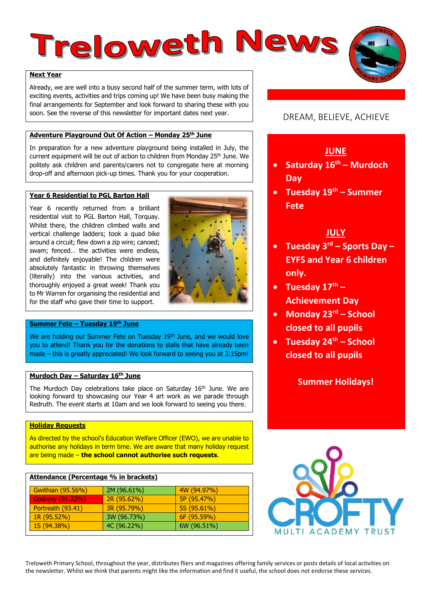# Treloweth News

# **Next Year**

Already, we are well into a busy second half of the summer term, with lots of exciting events, activities and trips coming up! We have been busy making the final arrangements for September and look forward to sharing these with you soon. See the reverse of this newsletter for important dates next year.

# **Adventure Playground Out Of Action – Monday 25th June**

In preparation for a new adventure playground being installed in July, the current equipment will be out of action to children from Monday 25<sup>th</sup> June. We politely ask children and parents/carers not to congregate here at morning drop-off and afternoon pick-up times. Thank you for your cooperation.

# **Year 6 Residential to PGL Barton Hall**

Year 6 recently returned from a brilliant residential visit to PGL Barton Hall, Torquay. Whilst there, the children climbed walls and vertical challenge ladders; took a quad bike around a circuit; flew down a zip wire; canoed; swam; fenced… the activities were endless, and definitely enjoyable! The children were absolutely fantastic in throwing themselves (literally) into the various activities, and thoroughly enjoyed a great week! Thank you to Mr Warren for organising the residential and for the staff who gave their time to support.



# **Summer Fete – Tuesday 19th June**

We are holding our Summer Fete on Tuesday 19<sup>th</sup> June, and we would love you to attend! Thank you for the donations to stalls that have already been made – this is greatly appreciated! We look forward to seeing you at 3:15pm!

## **Murdoch Day – Saturday 16th June**

The Murdoch Day celebrations take place on Saturday 16<sup>th</sup> June. We are looking forward to showcasing our Year 4 art work as we parade through Redruth. The event starts at 10am and we look forward to seeing you there.

# **Holiday Requests**

As directed by the school's Education Welfare Officer (EWO), we are unable to authorise any holidays in term time. We are aware that many holiday request are being made – **the school cannot authorise such requests**.

| <u>Attendance (Percentage % in brackets)</u> |             |             |  |  |  |  |  |  |  |  |
|----------------------------------------------|-------------|-------------|--|--|--|--|--|--|--|--|
| Gwithian (95.56%)                            | 2M (96.61%) | 4W(94.97%)  |  |  |  |  |  |  |  |  |
| <b>Godrevy (91.22%)</b>                      | 2R (95.62%) | 5P (95.47%) |  |  |  |  |  |  |  |  |
| Portreath (93.41)                            | 3R (95.79%) | 5S (95.61%) |  |  |  |  |  |  |  |  |
| 1R (95.52%)                                  | 3W (96.73%) | 6F (95.59%) |  |  |  |  |  |  |  |  |
| 1S (94.38%)                                  | 4C (96.22%) | 6W (96.51%) |  |  |  |  |  |  |  |  |

# DREAM, BELIEVE, ACHIEVE

# **JUNE**

- **Saturday 16th – Murdoch Day**
- **Tuesday 19th – Summer Fete**

# **JULY**

- **Tuesday 3rd – Sports Day – EYFS and Year 6 children only.**
- **Tuesday 17th – Achievement Day**
- **Monday 23rd – School closed to all pupils**
- **Tuesday 24th – School closed to all pupils**

**Summer Holidays!**



Treloweth Primary School, throughout the year, distributes fliers and magazines offering family services or posts details of local activities on the newsletter. Whilst we think that parents might like the information and find it useful, the school does not endorse these services.